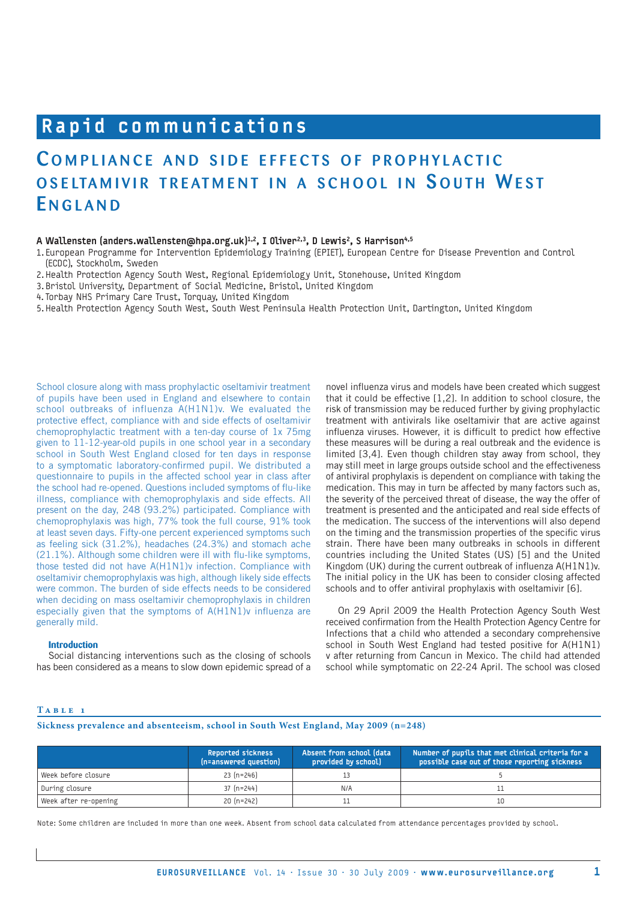# Rapid communications

## COMPLIANCE AND SIDE EFFECTS OF PROPHYLACTIC OSELTAMIVIR TREATMENT IN A SCHOOL IN SOUTH WEST **ENGLAND**

## A Wallensten (anders.wallensten@hpa.org.uk)<sup>1,2</sup>, I Oliver<sup>2,3</sup>, D Lewis<sup>2</sup>, S Harrison<sup>4,5</sup>

1. European Programme for Intervention Epidemiology Training (EPIET), European Centre for Disease Prevention and Control (ECDC), Stockholm, Sweden

2. Health Protection Agency South West, Regional Epidemiology Unit, Stonehouse, United Kingdom

- 3. Bristol University, Department of Social Medicine, Bristol, United Kingdom
- 4. Torbay NHS Primary Care Trust, Torquay, United Kingdom
- 5. Health Protection Agency South West, South West Peninsula Health Protection Unit, Dartington, United Kingdom

School closure along with mass prophylactic oseltamivir treatment of pupils have been used in England and elsewhere to contain school outbreaks of influenza A(H1N1)v. We evaluated the protective effect, compliance with and side effects of oseltamivir chemoprophylactic treatment with a ten-day course of 1x 75mg given to 11-12-year-old pupils in one school year in a secondary school in South West England closed for ten days in response to a symptomatic laboratory-confirmed pupil. We distributed a questionnaire to pupils in the affected school year in class after the school had re-opened. Questions included symptoms of flu-like illness, compliance with chemoprophylaxis and side effects. All present on the day, 248 (93.2%) participated. Compliance with chemoprophylaxis was high, 77% took the full course, 91% took at least seven days. Fifty-one percent experienced symptoms such as feeling sick (31.2%), headaches (24.3%) and stomach ache (21.1%). Although some children were ill with flu-like symptoms, those tested did not have A(H1N1)v infection. Compliance with oseltamivir chemoprophylaxis was high, although likely side effects were common. The burden of side effects needs to be considered when deciding on mass oseltamivir chemoprophylaxis in children especially given that the symptoms of A(H1N1)v influenza are generally mild.

## **Introduction**

Social distancing interventions such as the closing of schools has been considered as a means to slow down epidemic spread of a

novel influenza virus and models have been created which suggest that it could be effective [1,2]. In addition to school closure, the risk of transmission may be reduced further by giving prophylactic treatment with antivirals like oseltamivir that are active against influenza viruses. However, it is difficult to predict how effective these measures will be during a real outbreak and the evidence is limited [3,4]. Even though children stay away from school, they may still meet in large groups outside school and the effectiveness of antiviral prophylaxis is dependent on compliance with taking the medication. This may in turn be affected by many factors such as, the severity of the perceived threat of disease, the way the offer of treatment is presented and the anticipated and real side effects of the medication. The success of the interventions will also depend on the timing and the transmission properties of the specific virus strain. There have been many outbreaks in schools in different countries including the United States (US) [5] and the United Kingdom (UK) during the current outbreak of influenza A(H1N1)v. The initial policy in the UK has been to consider closing affected schools and to offer antiviral prophylaxis with oseltamivir [6].

On 29 April 2009 the Health Protection Agency South West received confirmation from the Health Protection Agency Centre for Infections that a child who attended a secondary comprehensive school in South West England had tested positive for A(H1N1) v after returning from Cancun in Mexico. The child had attended school while symptomatic on 22-24 April. The school was closed

## **T a b l e 1**

## **Sickness prevalence and absenteeism, school in South West England, May 2009 (n=248)**

|                       | <b>Reported sickness</b><br>(n=answered question) | Absent from school (data<br>provided by school) | Number of pupils that met clinical criteria for a<br>possible case out of those reporting sickness, |
|-----------------------|---------------------------------------------------|-------------------------------------------------|-----------------------------------------------------------------------------------------------------|
| Week before closure   | $23 (n=246)$                                      |                                                 |                                                                                                     |
| During closure        | $37 (n=244)$                                      | N/A                                             |                                                                                                     |
| Week after re-opening | $20 (n=242)$                                      |                                                 | 10                                                                                                  |

Note: Some children are included in more than one week. Absent from school data calculated from attendance percentages provided by school.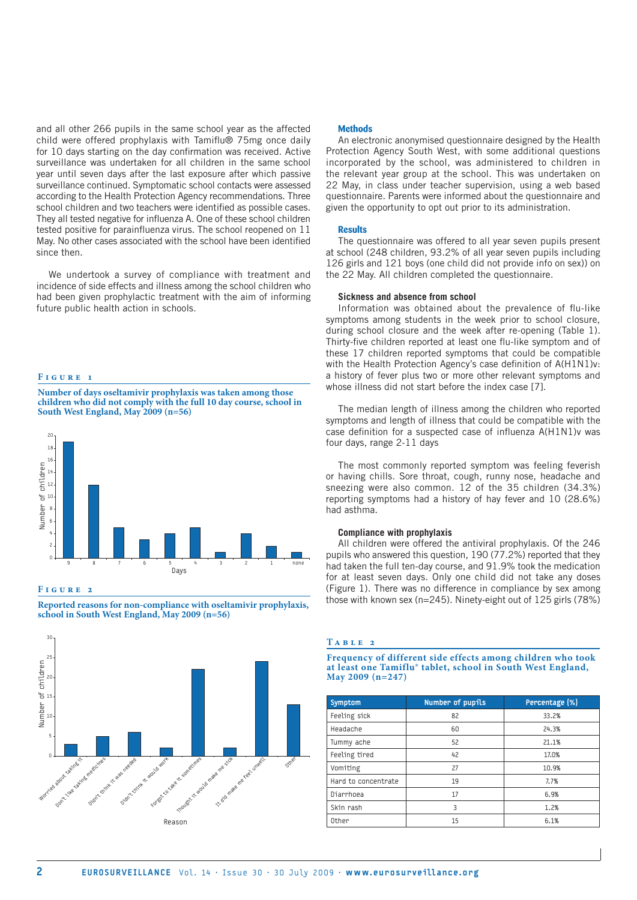and all other 266 pupils in the same school year as the affected child were offered prophylaxis with Tamiflu® 75mg once daily for 10 days starting on the day confirmation was received. Active surveillance was undertaken for all children in the same school year until seven days after the last exposure after which passive surveillance continued. Symptomatic school contacts were assessed according to the Health Protection Agency recommendations. Three school children and two teachers were identified as possible cases. They all tested negative for influenza A. One of these school children tested positive for parainfluenza virus. The school reopened on 11 May. No other cases associated with the school have been identified since then.

We undertook a survey of compliance with treatment and incidence of side effects and illness among the school children who had been given prophylactic treatment with the aim of informing future public health action in schools.

#### **F i g u r e 1**

**Number of days oseltamivir prophylaxis was taken among those children who did not comply with the full 10 day course, school in South West England, May 2009 (n=56)**



## **F i g u r e 2**

**Reported reasons for non-compliance with oseltamivir prophylaxis, school in South West England, May 2009 (n=56)**



#### **Methods**

An electronic anonymised questionnaire designed by the Health Protection Agency South West, with some additional questions incorporated by the school, was administered to children in the relevant year group at the school. This was undertaken on 22 May, in class under teacher supervision, using a web based questionnaire. Parents were informed about the questionnaire and given the opportunity to opt out prior to its administration.

#### **Results**

The questionnaire was offered to all year seven pupils present at school (248 children, 93.2% of all year seven pupils including 126 girls and 121 boys (one child did not provide info on sex)) on the 22 May. All children completed the questionnaire.

## **Sickness and absence from school**

Information was obtained about the prevalence of flu-like symptoms among students in the week prior to school closure, during school closure and the week after re-opening (Table 1). Thirty-five children reported at least one flu-like symptom and of these 17 children reported symptoms that could be compatible with the Health Protection Agency's case definition of A(H1N1)v: a history of fever plus two or more other relevant symptoms and whose illness did not start before the index case [7].

The median length of illness among the children who reported symptoms and length of illness that could be compatible with the case definition for a suspected case of influenza A(H1N1)v was four days, range 2-11 days

The most commonly reported symptom was feeling feverish or having chills. Sore throat, cough, runny nose, headache and sneezing were also common. 12 of the 35 children (34.3%) reporting symptoms had a history of hay fever and 10 (28.6%) had asthma.

## **Compliance with prophylaxis**

All children were offered the antiviral prophylaxis. Of the 246 pupils who answered this question, 190 (77.2%) reported that they had taken the full ten-day course, and 91.9% took the medication for at least seven days. Only one child did not take any doses (Figure 1). There was no difference in compliance by sex among those with known sex (n=245). Ninety-eight out of 125 girls (78%)

#### **T a b l e 2**

**Frequency of different side effects among children who took at least one Tamiflu® tablet, school in South West England, May 2009 (n=247)** 

| Symptom             | Number of pupils | Percentage (%) |
|---------------------|------------------|----------------|
| Feeling sick        | 82               | 33.2%          |
| Headache            | 60               | 24.3%          |
| Tummy ache          | 52               | 21.1%          |
| Feeling tired       | 42               | 17.0%          |
| Vomiting            | 27               | 10.9%          |
| Hard to concentrate | 19               | 7.7%           |
| Diarrhoea           | 17               | 6.9%           |
| Skin rash           | 3                | 1.2%           |
| Other               | 15               | 6.1%           |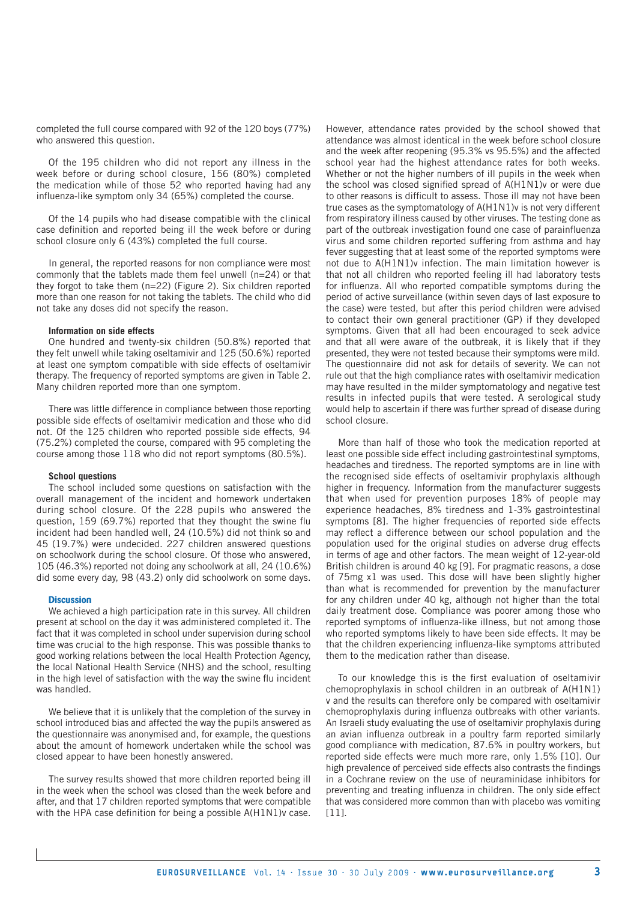completed the full course compared with 92 of the 120 boys (77%) who answered this question.

Of the 195 children who did not report any illness in the week before or during school closure, 156 (80%) completed the medication while of those 52 who reported having had any influenza-like symptom only 34 (65%) completed the course.

Of the 14 pupils who had disease compatible with the clinical case definition and reported being ill the week before or during school closure only 6 (43%) completed the full course.

In general, the reported reasons for non compliance were most commonly that the tablets made them feel unwell (n=24) or that they forgot to take them (n=22) (Figure 2). Six children reported more than one reason for not taking the tablets. The child who did not take any doses did not specify the reason.

#### **Information on side effects**

One hundred and twenty-six children (50.8%) reported that they felt unwell while taking oseltamivir and 125 (50.6%) reported at least one symptom compatible with side effects of oseltamivir therapy. The frequency of reported symptoms are given in Table 2. Many children reported more than one symptom.

There was little difference in compliance between those reporting possible side effects of oseltamivir medication and those who did not. Of the 125 children who reported possible side effects, 94 (75.2%) completed the course, compared with 95 completing the course among those 118 who did not report symptoms (80.5%).

## **School questions**

The school included some questions on satisfaction with the overall management of the incident and homework undertaken during school closure. Of the 228 pupils who answered the question, 159 (69.7%) reported that they thought the swine flu incident had been handled well, 24 (10.5%) did not think so and 45 (19.7%) were undecided. 227 children answered questions on schoolwork during the school closure. Of those who answered, 105 (46.3%) reported not doing any schoolwork at all, 24 (10.6%) did some every day, 98 (43.2) only did schoolwork on some days.

#### **Discussion**

We achieved a high participation rate in this survey. All children present at school on the day it was administered completed it. The fact that it was completed in school under supervision during school time was crucial to the high response. This was possible thanks to good working relations between the local Health Protection Agency, the local National Health Service (NHS) and the school, resulting in the high level of satisfaction with the way the swine flu incident was handled.

We believe that it is unlikely that the completion of the survey in school introduced bias and affected the way the pupils answered as the questionnaire was anonymised and, for example, the questions about the amount of homework undertaken while the school was closed appear to have been honestly answered.

The survey results showed that more children reported being ill in the week when the school was closed than the week before and after, and that 17 children reported symptoms that were compatible with the HPA case definition for being a possible A(H1N1)y case.

However, attendance rates provided by the school showed that attendance was almost identical in the week before school closure and the week after reopening (95.3% vs 95.5%) and the affected school year had the highest attendance rates for both weeks. Whether or not the higher numbers of ill pupils in the week when the school was closed signified spread of A(H1N1)v or were due to other reasons is difficult to assess. Those ill may not have been true cases as the symptomatology of A(H1N1)v is not very different from respiratory illness caused by other viruses. The testing done as part of the outbreak investigation found one case of parainfluenza virus and some children reported suffering from asthma and hay fever suggesting that at least some of the reported symptoms were not due to A(H1N1)v infection. The main limitation however is that not all children who reported feeling ill had laboratory tests for influenza. All who reported compatible symptoms during the period of active surveillance (within seven days of last exposure to the case) were tested, but after this period children were advised to contact their own general practitioner (GP) if they developed symptoms. Given that all had been encouraged to seek advice and that all were aware of the outbreak, it is likely that if they presented, they were not tested because their symptoms were mild. The questionnaire did not ask for details of severity. We can not rule out that the high compliance rates with oseltamivir medication may have resulted in the milder symptomatology and negative test results in infected pupils that were tested. A serological study would help to ascertain if there was further spread of disease during school closure.

More than half of those who took the medication reported at least one possible side effect including gastrointestinal symptoms, headaches and tiredness. The reported symptoms are in line with the recognised side effects of oseltamivir prophylaxis although higher in frequency. Information from the manufacturer suggests that when used for prevention purposes 18% of people may experience headaches, 8% tiredness and 1-3% gastrointestinal symptoms [8]. The higher frequencies of reported side effects may reflect a difference between our school population and the population used for the original studies on adverse drug effects in terms of age and other factors. The mean weight of 12-year-old British children is around 40 kg [9]. For pragmatic reasons, a dose of 75mg x1 was used. This dose will have been slightly higher than what is recommended for prevention by the manufacturer for any children under 40 kg, although not higher than the total daily treatment dose. Compliance was poorer among those who reported symptoms of influenza-like illness, but not among those who reported symptoms likely to have been side effects. It may be that the children experiencing influenza-like symptoms attributed them to the medication rather than disease.

To our knowledge this is the first evaluation of oseltamivir chemoprophylaxis in school children in an outbreak of A(H1N1) v and the results can therefore only be compared with oseltamivir chemoprophylaxis during influenza outbreaks with other variants. An Israeli study evaluating the use of oseltamivir prophylaxis during an avian influenza outbreak in a poultry farm reported similarly good compliance with medication, 87.6% in poultry workers, but reported side effects were much more rare, only 1.5% [10]. Our high prevalence of perceived side effects also contrasts the findings in a Cochrane review on the use of neuraminidase inhibitors for preventing and treating influenza in children. The only side effect that was considered more common than with placebo was vomiting [11].